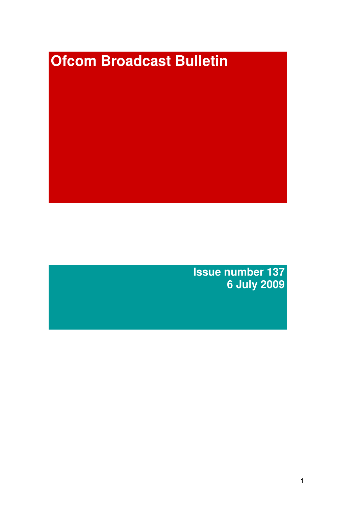# **Ofcom Broadcast Bulletin**

**Issue number 137 6 July 2009**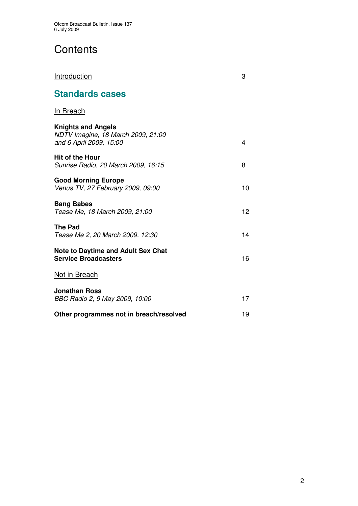# **Contents**

| Introduction                                                                               | 3  |
|--------------------------------------------------------------------------------------------|----|
| <b>Standards cases</b>                                                                     |    |
| <b>In Breach</b>                                                                           |    |
| <b>Knights and Angels</b><br>NDTV Imagine, 18 March 2009, 21:00<br>and 6 April 2009, 15:00 | 4  |
| <b>Hit of the Hour</b><br>Sunrise Radio, 20 March 2009, 16:15                              | 8  |
| <b>Good Morning Europe</b><br>Venus TV, 27 February 2009, 09:00                            | 10 |
| <b>Bang Babes</b><br>Tease Me, 18 March 2009, 21:00                                        | 12 |
| <b>The Pad</b><br>Tease Me 2, 20 March 2009, 12:30                                         | 14 |
| <b>Note to Daytime and Adult Sex Chat</b><br><b>Service Broadcasters</b>                   | 16 |
| Not in Breach                                                                              |    |
| <b>Jonathan Ross</b><br>BBC Radio 2, 9 May 2009, 10:00                                     | 17 |
| Other programmes not in breach/resolved                                                    | 19 |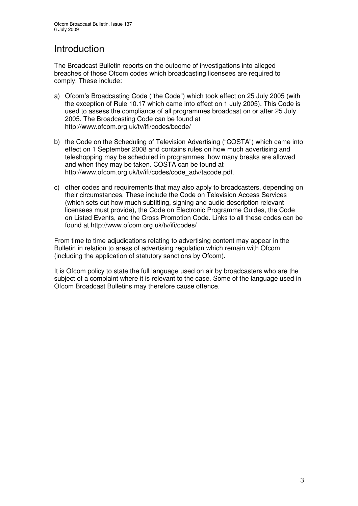## Introduction

The Broadcast Bulletin reports on the outcome of investigations into alleged breaches of those Ofcom codes which broadcasting licensees are required to comply. These include:

- a) Ofcom's Broadcasting Code ("the Code") which took effect on 25 July 2005 (with the exception of Rule 10.17 which came into effect on 1 July 2005). This Code is used to assess the compliance of all programmes broadcast on or after 25 July 2005. The Broadcasting Code can be found at http://www.ofcom.org.uk/tv/ifi/codes/bcode/
- b) the Code on the Scheduling of Television Advertising ("COSTA") which came into effect on 1 September 2008 and contains rules on how much advertising and teleshopping may be scheduled in programmes, how many breaks are allowed and when they may be taken. COSTA can be found at http://www.ofcom.org.uk/tv/ifi/codes/code\_adv/tacode.pdf.
- c) other codes and requirements that may also apply to broadcasters, depending on their circumstances. These include the Code on Television Access Services (which sets out how much subtitling, signing and audio description relevant licensees must provide), the Code on Electronic Programme Guides, the Code on Listed Events, and the Cross Promotion Code. Links to all these codes can be found at http://www.ofcom.org.uk/tv/ifi/codes/

From time to time adjudications relating to advertising content may appear in the Bulletin in relation to areas of advertising regulation which remain with Ofcom (including the application of statutory sanctions by Ofcom).

It is Ofcom policy to state the full language used on air by broadcasters who are the subject of a complaint where it is relevant to the case. Some of the language used in Ofcom Broadcast Bulletins may therefore cause offence.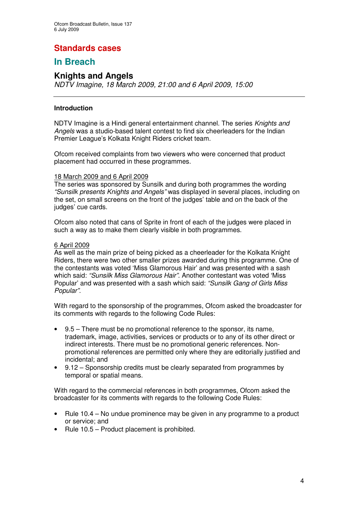## **Standards cases**

## **In Breach**

### **Knights and Angels**

*NDTV Imagine, 18 March 2009, 21:00 and 6 April 2009, 15:00*

#### **Introduction**

NDTV Imagine is a Hindi general entertainment channel. The series *Knights and Angels* was a studio-based talent contest to find six cheerleaders for the Indian Premier League's Kolkata Knight Riders cricket team.

Ofcom received complaints from two viewers who were concerned that product placement had occurred in these programmes.

#### 18 March 2009 and 6 April 2009

The series was sponsored by Sunsilk and during both programmes the wording *"Sunsilk presents Knights and Angels"* was displayed in several places, including on the set, on small screens on the front of the judges' table and on the back of the judges' cue cards.

Ofcom also noted that cans of Sprite in front of each of the judges were placed in such a way as to make them clearly visible in both programmes.

#### 6 April 2009

As well as the main prize of being picked as a cheerleader for the Kolkata Knight Riders, there were two other smaller prizes awarded during this programme. One of the contestants was voted 'Miss Glamorous Hair' and was presented with a sash which said: *"Sunsilk Miss Glamorous Hair".* Another contestant was voted 'Miss Popular' and was presented with a sash which said: *"Sunsilk Gang of Girls Miss Popular".*

With regard to the sponsorship of the programmes, Ofcom asked the broadcaster for its comments with regards to the following Code Rules:

- 9.5 There must be no promotional reference to the sponsor, its name, trademark, image, activities, services or products or to any of its other direct or indirect interests. There must be no promotional generic references. Nonpromotional references are permitted only where they are editorially justified and incidental; and
- 9.12 Sponsorship credits must be clearly separated from programmes by temporal or spatial means.

With regard to the commercial references in both programmes, Ofcom asked the broadcaster for its comments with regards to the following Code Rules:

- Rule 10.4 No undue prominence may be given in any programme to a product or service; and
- Rule 10.5 Product placement is prohibited.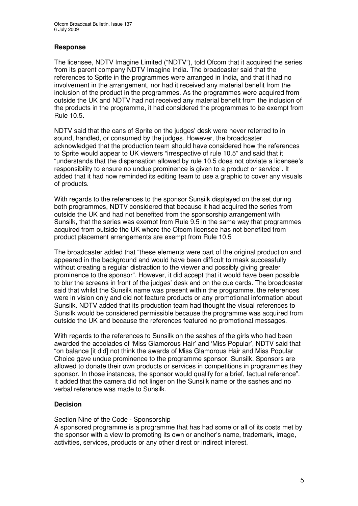#### **Response**

The licensee, NDTV Imagine Limited ("NDTV"), told Ofcom that it acquired the series from its parent company NDTV Imagine India. The broadcaster said that the references to Sprite in the programmes were arranged in India, and that it had no involvement in the arrangement, nor had it received any material benefit from the inclusion of the product in the programmes. As the programmes were acquired from outside the UK and NDTV had not received any material benefit from the inclusion of the products in the programme, it had considered the programmes to be exempt from Rule 10.5.

NDTV said that the cans of Sprite on the judges' desk were never referred to in sound, handled, or consumed by the judges. However, the broadcaster acknowledged that the production team should have considered how the references to Sprite would appear to UK viewers "irrespective of rule 10.5" and said that it "understands that the dispensation allowed by rule 10.5 does not obviate a licensee's responsibility to ensure no undue prominence is given to a product or service". It added that it had now reminded its editing team to use a graphic to cover any visuals of products.

With regards to the references to the sponsor Sunsilk displayed on the set during both programmes, NDTV considered that because it had acquired the series from outside the UK and had not benefited from the sponsorship arrangement with Sunsilk, that the series was exempt from Rule 9.5 in the same way that programmes acquired from outside the UK where the Ofcom licensee has not benefited from product placement arrangements are exempt from Rule 10.5

The broadcaster added that "these elements were part of the original production and appeared in the background and would have been difficult to mask successfully without creating a regular distraction to the viewer and possibly giving greater prominence to the sponsor". However, it did accept that it would have been possible to blur the screens in front of the judges' desk and on the cue cards. The broadcaster said that whilst the Sunsilk name was present within the programme, the references were in vision only and did not feature products or any promotional information about Sunsilk. NDTV added that its production team had thought the visual references to Sunsilk would be considered permissible because the programme was acquired from outside the UK and because the references featured no promotional messages.

With regards to the references to Sunsilk on the sashes of the girls who had been awarded the accolades of 'Miss Glamorous Hair' and 'Miss Popular', NDTV said that "on balance [it did] not think the awards of Miss Glamorous Hair and Miss Popular Choice gave undue prominence to the programme sponsor, Sunsilk. Sponsors are allowed to donate their own products or services in competitions in programmes they sponsor. In those instances, the sponsor would qualify for a brief, factual reference". It added that the camera did not linger on the Sunsilk name or the sashes and no verbal reference was made to Sunsilk.

#### **Decision**

#### Section Nine of the Code - Sponsorship

A sponsored programme is a programme that has had some or all of its costs met by the sponsor with a view to promoting its own or another's name, trademark, image, activities, services, products or any other direct or indirect interest.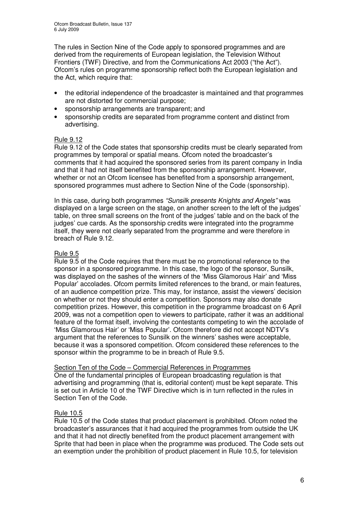The rules in Section Nine of the Code apply to sponsored programmes and are derived from the requirements of European legislation, the Television Without Frontiers (TWF) Directive, and from the Communications Act 2003 ("the Act"). Ofcom's rules on programme sponsorship reflect both the European legislation and the Act, which require that:

- the editorial independence of the broadcaster is maintained and that programmes are not distorted for commercial purpose;
- sponsorship arrangements are transparent; and
- sponsorship credits are separated from programme content and distinct from advertising.

#### Rule 9.12

Rule 9.12 of the Code states that sponsorship credits must be clearly separated from programmes by temporal or spatial means. Ofcom noted the broadcaster's comments that it had acquired the sponsored series from its parent company in India and that it had not itself benefited from the sponsorship arrangement. However, whether or not an Ofcom licensee has benefited from a sponsorship arrangement, sponsored programmes must adhere to Section Nine of the Code (sponsorship).

In this case, during both programmes *"Sunsilk presents Knights and Angels"* was displayed on a large screen on the stage, on another screen to the left of the judges' table, on three small screens on the front of the judges' table and on the back of the judges' cue cards. As the sponsorship credits were integrated into the programme itself, they were not clearly separated from the programme and were therefore in breach of Rule 9.12.

#### Rule 9.5

Rule 9.5 of the Code requires that there must be no promotional reference to the sponsor in a sponsored programme. In this case, the logo of the sponsor, Sunsilk, was displayed on the sashes of the winners of the 'Miss Glamorous Hair' and 'Miss Popular' accolades. Ofcom permits limited references to the brand, or main features, of an audience competition prize. This may, for instance, assist the viewers' decision on whether or not they should enter a competition. Sponsors may also donate competition prizes. However, this competition in the programme broadcast on 6 April 2009, was not a competition open to viewers to participate, rather it was an additional feature of the format itself, involving the contestants competing to win the accolade of 'Miss Glamorous Hair' or 'Miss Popular'. Ofcom therefore did not accept NDTV's argument that the references to Sunsilk on the winners' sashes were acceptable, because it was a sponsored competition. Ofcom considered these references to the sponsor within the programme to be in breach of Rule 9.5.

#### Section Ten of the Code – Commercial References in Programmes

One of the fundamental principles of European broadcasting regulation is that advertising and programming (that is, editorial content) must be kept separate. This is set out in Article 10 of the TWF Directive which is in turn reflected in the rules in Section Ten of the Code.

#### Rule 10.5

Rule 10.5 of the Code states that product placement is prohibited. Ofcom noted the broadcaster's assurances that it had acquired the programmes from outside the UK and that it had not directly benefited from the product placement arrangement with Sprite that had been in place when the programme was produced. The Code sets out an exemption under the prohibition of product placement in Rule 10.5, for television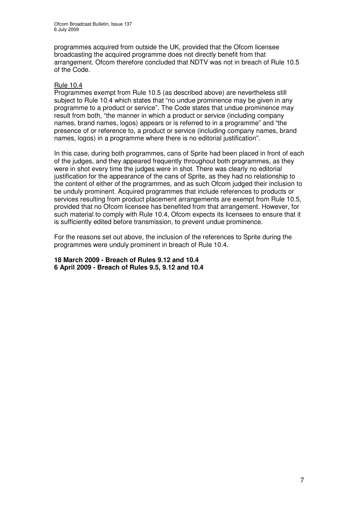programmes acquired from outside the UK, provided that the Ofcom licensee broadcasting the acquired programme does not directly benefit from that arrangement. Ofcom therefore concluded that NDTV was not in breach of Rule 10.5 of the Code.

#### Rule 10.4

Programmes exempt from Rule 10.5 (as described above) are nevertheless still subject to Rule 10.4 which states that "no undue prominence may be given in any programme to a product or service". The Code states that undue prominence may result from both, "the manner in which a product or service (including company names, brand names, logos) appears or is referred to in a programme" and "the presence of or reference to, a product or service (including company names, brand names, logos) in a programme where there is no editorial justification".

In this case, during both programmes, cans of Sprite had been placed in front of each of the judges, and they appeared frequently throughout both programmes, as they were in shot every time the judges were in shot. There was clearly no editorial justification for the appearance of the cans of Sprite, as they had no relationship to the content of either of the programmes, and as such Ofcom judged their inclusion to be unduly prominent. Acquired programmes that include references to products or services resulting from product placement arrangements are exempt from Rule 10.5, provided that no Ofcom licensee has benefited from that arrangement. However, for such material to comply with Rule 10.4, Ofcom expects its licensees to ensure that it is sufficiently edited before transmission, to prevent undue prominence.

For the reasons set out above, the inclusion of the references to Sprite during the programmes were unduly prominent in breach of Rule 10.4.

**18 March 2009 - Breach of Rules 9.12 and 10.4 6 April 2009 - Breach of Rules 9.5, 9.12 and 10.4**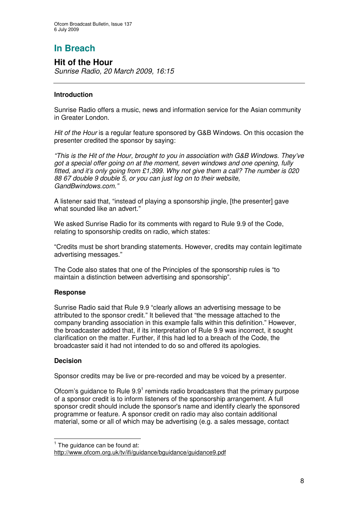## **Hit of the Hour**

*Sunrise Radio, 20 March 2009, 16:15*

#### **Introduction**

Sunrise Radio offers a music, news and information service for the Asian community in Greater London.

*Hit of the Hour* is a regular feature sponsored by G&B Windows. On this occasion the presenter credited the sponsor by saying:

*"This is the Hit of the Hour, brought to you in association with G&B Windows. They've got a special offer going on at the moment, seven windows and one opening, fully fitted, and it's only going from £1,399. Why not give them a call? The number is 020 88 67 double 9 double 5, or you can just log on to their website, GandBwindows.com."*

A listener said that, "instead of playing a sponsorship jingle, [the presenter] gave what sounded like an advert."

We asked Sunrise Radio for its comments with regard to Rule 9.9 of the Code, relating to sponsorship credits on radio, which states:

"Credits must be short branding statements. However, credits may contain legitimate advertising messages."

The Code also states that one of the Principles of the sponsorship rules is "to maintain a distinction between advertising and sponsorship".

#### **Response**

Sunrise Radio said that Rule 9.9 "clearly allows an advertising message to be attributed to the sponsor credit." It believed that "the message attached to the company branding association in this example falls within this definition." However, the broadcaster added that, if its interpretation of Rule 9.9 was incorrect, it sought clarification on the matter. Further, if this had led to a breach of the Code, the broadcaster said it had not intended to do so and offered its apologies.

#### **Decision**

Sponsor credits may be live or pre-recorded and may be voiced by a presenter.

Ofcom's guidance to Rule  $9.9<sup>1</sup>$  reminds radio broadcasters that the primary purpose of a sponsor credit is to inform listeners of the sponsorship arrangement. A full sponsor credit should include the sponsor's name and identify clearly the sponsored programme or feature. A sponsor credit on radio may also contain additional material, some or all of which may be advertising (e.g. a sales message, contact

 $<sup>1</sup>$  The guidance can be found at:</sup>

http://www.ofcom.org.uk/tv/ifi/guidance/bguidance/guidance9.pdf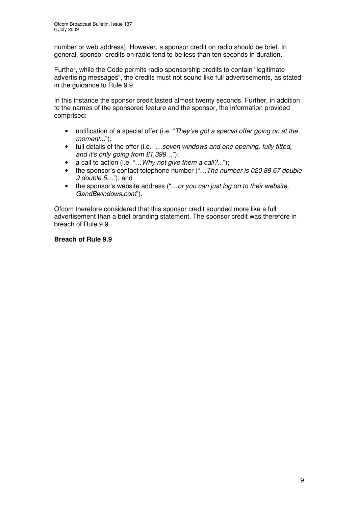number or web address). However, a sponsor credit on radio should be brief. In general, sponsor credits on radio tend to be less than ten seconds in duration.

Further, while the Code permits radio sponsorship credits to contain "legitimate advertising messages", the credits must not sound like full advertisements, as stated in the guidance to Rule 9.9.

In this instance the sponsor credit lasted almost twenty seconds. Further, in addition to the names of the sponsored feature and the sponsor, the information provided comprised:

- notification of a special offer (i.e. "*They've got a special offer going on at the moment...*");
- full details of the offer (i.e. "*…seven windows and one opening, fully fitted, and it's only going from £1,399…*");
- a call to action (i.e. "*…Why not give them a call?...*");
- the sponsor's contact telephone number ("*…The number is 020 88 67 double 9 double 5*…"); and
- the sponsor's website address ("*…or you can just log on to their website, GandBwindows.com*").

Ofcom therefore considered that this sponsor credit sounded more like a full advertisement than a brief branding statement. The sponsor credit was therefore in breach of Rule 9.9.

#### **Breach of Rule 9.9**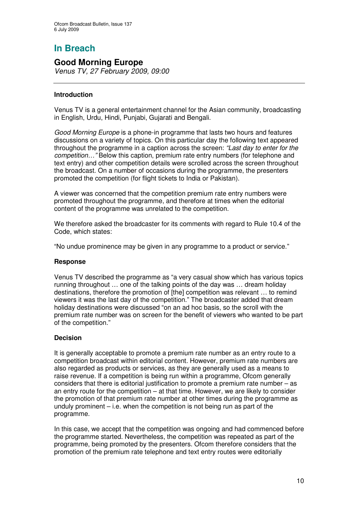## **Good Morning Europe**

*Venus TV, 27 February 2009, 09:00*

#### **Introduction**

Venus TV is a general entertainment channel for the Asian community, broadcasting in English, Urdu, Hindi, Punjabi, Gujarati and Bengali.

*Good Morning Europe* is a phone-in programme that lasts two hours and features discussions on a variety of topics. On this particular day the following text appeared throughout the programme in a caption across the screen: *"Last day to enter for the competition…"* Below this caption, premium rate entry numbers (for telephone and text entry) and other competition details were scrolled across the screen throughout the broadcast. On a number of occasions during the programme, the presenters promoted the competition (for flight tickets to India or Pakistan).

A viewer was concerned that the competition premium rate entry numbers were promoted throughout the programme, and therefore at times when the editorial content of the programme was unrelated to the competition.

We therefore asked the broadcaster for its comments with regard to Rule 10.4 of the Code, which states:

"No undue prominence may be given in any programme to a product or service."

#### **Response**

Venus TV described the programme as "a very casual show which has various topics running throughout … one of the talking points of the day was … dream holiday destinations, therefore the promotion of [the] competition was relevant … to remind viewers it was the last day of the competition." The broadcaster added that dream holiday destinations were discussed "on an ad hoc basis, so the scroll with the premium rate number was on screen for the benefit of viewers who wanted to be part of the competition."

#### **Decision**

It is generally acceptable to promote a premium rate number as an entry route to a competition broadcast within editorial content. However, premium rate numbers are also regarded as products or services, as they are generally used as a means to raise revenue. If a competition is being run within a programme, Ofcom generally considers that there is editorial justification to promote a premium rate number – as an entry route for the competition – at that time. However, we are likely to consider the promotion of that premium rate number at other times during the programme as unduly prominent – i.e. when the competition is not being run as part of the programme.

In this case, we accept that the competition was ongoing and had commenced before the programme started. Nevertheless, the competition was repeated as part of the programme, being promoted by the presenters. Ofcom therefore considers that the promotion of the premium rate telephone and text entry routes were editorially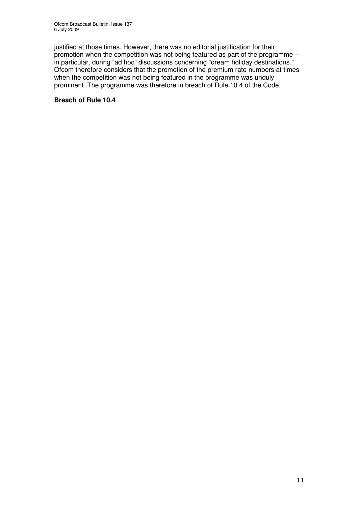justified at those times. However, there was no editorial justification for their promotion when the competition was not being featured as part of the programme – in particular, during "ad hoc" discussions concerning "dream holiday destinations." Ofcom therefore considers that the promotion of the premium rate numbers at times when the competition was not being featured in the programme was unduly prominent. The programme was therefore in breach of Rule 10.4 of the Code.

#### **Breach of Rule 10.4**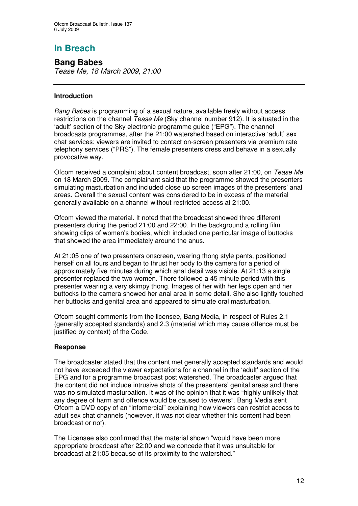**Bang Babes** *Tease Me, 18 March 2009, 21:00*

#### **Introduction**

*Bang Babes* is programming of a sexual nature, available freely without access restrictions on the channel *Tease Me* (Sky channel number 912). It is situated in the 'adult' section of the Sky electronic programme guide ("EPG"). The channel broadcasts programmes, after the 21:00 watershed based on interactive 'adult' sex chat services: viewers are invited to contact on-screen presenters via premium rate telephony services ("PRS"). The female presenters dress and behave in a sexually provocative way.

Ofcom received a complaint about content broadcast, soon after 21:00, on *Tease Me* on 18 March 2009. The complainant said that the programme showed the presenters simulating masturbation and included close up screen images of the presenters' anal areas. Overall the sexual content was considered to be in excess of the material generally available on a channel without restricted access at 21:00.

Ofcom viewed the material. It noted that the broadcast showed three different presenters during the period 21:00 and 22:00. In the background a rolling film showing clips of women's bodies, which included one particular image of buttocks that showed the area immediately around the anus.

At 21:05 one of two presenters onscreen, wearing thong style pants, positioned herself on all fours and began to thrust her body to the camera for a period of approximately five minutes during which anal detail was visible. At 21:13 a single presenter replaced the two women. There followed a 45 minute period with this presenter wearing a very skimpy thong. Images of her with her legs open and her buttocks to the camera showed her anal area in some detail. She also lightly touched her buttocks and genital area and appeared to simulate oral masturbation.

Ofcom sought comments from the licensee, Bang Media, in respect of Rules 2.1 (generally accepted standards) and 2.3 (material which may cause offence must be justified by context) of the Code.

#### **Response**

The broadcaster stated that the content met generally accepted standards and would not have exceeded the viewer expectations for a channel in the 'adult' section of the EPG and for a programme broadcast post watershed. The broadcaster argued that the content did not include intrusive shots of the presenters' genital areas and there was no simulated masturbation. It was of the opinion that it was "highly unlikely that any degree of harm and offence would be caused to viewers". Bang Media sent Ofcom a DVD copy of an "infomercial" explaining how viewers can restrict access to adult sex chat channels (however, it was not clear whether this content had been broadcast or not).

The Licensee also confirmed that the material shown "would have been more appropriate broadcast after 22:00 and we concede that it was unsuitable for broadcast at 21:05 because of its proximity to the watershed."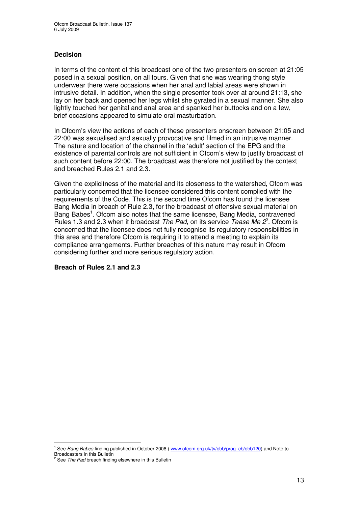#### **Decision**

In terms of the content of this broadcast one of the two presenters on screen at 21:05 posed in a sexual position, on all fours. Given that she was wearing thong style underwear there were occasions when her anal and labial areas were shown in intrusive detail. In addition, when the single presenter took over at around 21:13, she lay on her back and opened her legs whilst she gyrated in a sexual manner. She also lightly touched her genital and anal area and spanked her buttocks and on a few, brief occasions appeared to simulate oral masturbation.

In Ofcom's view the actions of each of these presenters onscreen between 21:05 and 22:00 was sexualised and sexually provocative and filmed in an intrusive manner. The nature and location of the channel in the 'adult' section of the EPG and the existence of parental controls are not sufficient in Ofcom's view to justify broadcast of such content before 22:00. The broadcast was therefore not justified by the context and breached Rules 2.1 and 2.3.

Given the explicitness of the material and its closeness to the watershed, Ofcom was particularly concerned that the licensee considered this content complied with the requirements of the Code. This is the second time Ofcom has found the licensee Bang Media in breach of Rule 2.3, for the broadcast of offensive sexual material on Bang Babes<sup>1</sup>. Ofcom also notes that the same licensee, Bang Media, contravened Rules 1.3 and 2.3 when it broadcast *The Pad*, on its service *Tease Me 2 2 .* Ofcom is concerned that the licensee does not fully recognise its regulatory responsibilities in this area and therefore Ofcom is requiring it to attend a meeting to explain its compliance arrangements. Further breaches of this nature may result in Ofcom considering further and more serious regulatory action.

#### **Breach of Rules 2.1 and 2.3**

<sup>&</sup>lt;sup>1</sup> See *Bang Babes* finding published in October 2008 (www.ofcom.org.uk/tv/obb/prog\_cb/obb120) and Note to

Broadcasters in this Bulletin <sup>2</sup> See *The Pad* breach finding elsewhere in this Bulletin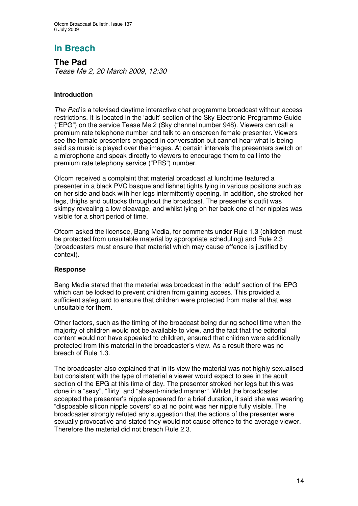**The Pad** *Tease Me 2, 20 March 2009, 12:30*

#### **Introduction**

*The Pad* is a televised daytime interactive chat programme broadcast without access restrictions. It is located in the 'adult' section of the Sky Electronic Programme Guide ("EPG") on the service Tease Me 2 (Sky channel number 948). Viewers can call a premium rate telephone number and talk to an onscreen female presenter. Viewers see the female presenters engaged in conversation but cannot hear what is being said as music is played over the images. At certain intervals the presenters switch on a microphone and speak directly to viewers to encourage them to call into the premium rate telephony service ("PRS") number.

Ofcom received a complaint that material broadcast at lunchtime featured a presenter in a black PVC basque and fishnet tights lying in various positions such as on her side and back with her legs intermittently opening. In addition, she stroked her legs, thighs and buttocks throughout the broadcast. The presenter's outfit was skimpy revealing a low cleavage, and whilst lying on her back one of her nipples was visible for a short period of time.

Ofcom asked the licensee, Bang Media, for comments under Rule 1.3 (children must be protected from unsuitable material by appropriate scheduling) and Rule 2.3 (broadcasters must ensure that material which may cause offence is justified by context).

#### **Response**

Bang Media stated that the material was broadcast in the 'adult' section of the EPG which can be locked to prevent children from gaining access. This provided a sufficient safeguard to ensure that children were protected from material that was unsuitable for them.

Other factors, such as the timing of the broadcast being during school time when the majority of children would not be available to view, and the fact that the editorial content would not have appealed to children, ensured that children were additionally protected from this material in the broadcaster's view. As a result there was no breach of Rule 1.3.

The broadcaster also explained that in its view the material was not highly sexualised but consistent with the type of material a viewer would expect to see in the adult section of the EPG at this time of day. The presenter stroked her legs but this was done in a "sexy", "flirty" and "absent-minded manner". Whilst the broadcaster accepted the presenter's nipple appeared for a brief duration, it said she was wearing "disposable silicon nipple covers" so at no point was her nipple fully visible. The broadcaster strongly refuted any suggestion that the actions of the presenter were sexually provocative and stated they would not cause offence to the average viewer. Therefore the material did not breach Rule 2.3.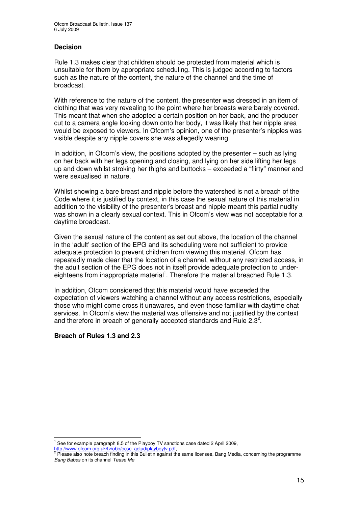#### **Decision**

Rule 1.3 makes clear that children should be protected from material which is unsuitable for them by appropriate scheduling. This is judged according to factors such as the nature of the content, the nature of the channel and the time of broadcast.

With reference to the nature of the content, the presenter was dressed in an item of clothing that was very revealing to the point where her breasts were barely covered. This meant that when she adopted a certain position on her back, and the producer cut to a camera angle looking down onto her body, it was likely that her nipple area would be exposed to viewers. In Ofcom's opinion, one of the presenter's nipples was visible despite any nipple covers she was allegedly wearing.

In addition, in Ofcom's view, the positions adopted by the presenter – such as lying on her back with her legs opening and closing, and lying on her side lifting her legs up and down whilst stroking her thighs and buttocks – exceeded a "flirty" manner and were sexualised in nature.

Whilst showing a bare breast and nipple before the watershed is not a breach of the Code where it is justified by context, in this case the sexual nature of this material in addition to the visibility of the presenter's breast and nipple meant this partial nudity was shown in a clearly sexual context. This in Ofcom's view was not acceptable for a daytime broadcast.

Given the sexual nature of the content as set out above, the location of the channel in the 'adult' section of the EPG and its scheduling were not sufficient to provide adequate protection to prevent children from viewing this material. Ofcom has repeatedly made clear that the location of a channel, without any restricted access, in the adult section of the EPG does not in itself provide adequate protection to undereighteens from inappropriate material<sup>1</sup>. Therefore the material breached Rule 1.3.

In addition, Ofcom considered that this material would have exceeded the expectation of viewers watching a channel without any access restrictions, especially those who might come cross it unawares, and even those familiar with daytime chat services. In Ofcom's view the material was offensive and not justified by the context and therefore in breach of generally accepted standards and Rule 2.3<sup>2</sup>.

#### **Breach of Rules 1.3 and 2.3**

 $1$  See for example paragraph 8.5 of the Playboy TV sanctions case dated 2 April 2009,

<sup>&</sup>lt;u>http://www.ofcom.org.uk/tv/obb/ocsc\_adjud/playboytv.pdf,</u><br><sup>2</sup> Please also note breach finding in this Bulletin against the same licensee, Bang Media, concerning the programme *Bang Babes* on its channel *Tease Me*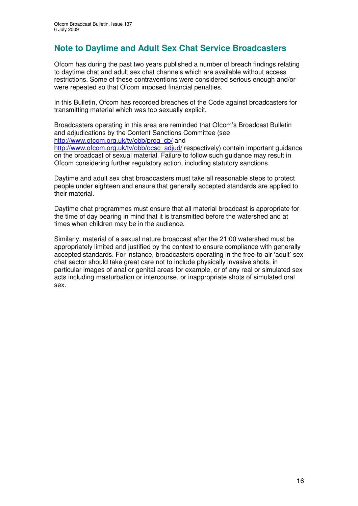## **Note to Daytime and Adult Sex Chat Service Broadcasters**

Ofcom has during the past two years published a number of breach findings relating to daytime chat and adult sex chat channels which are available without access restrictions. Some of these contraventions were considered serious enough and/or were repeated so that Ofcom imposed financial penalties.

In this Bulletin, Ofcom has recorded breaches of the Code against broadcasters for transmitting material which was too sexually explicit.

Broadcasters operating in this area are reminded that Ofcom's Broadcast Bulletin and adjudications by the Content Sanctions Committee (see http://www.ofcom.org.uk/tv/obb/prog\_cb/ and http://www.ofcom.org.uk/tv/obb/ocsc\_adjud/ respectively) contain important guidance on the broadcast of sexual material. Failure to follow such guidance may result in

Ofcom considering further regulatory action, including statutory sanctions.

Daytime and adult sex chat broadcasters must take all reasonable steps to protect people under eighteen and ensure that generally accepted standards are applied to their material.

Daytime chat programmes must ensure that all material broadcast is appropriate for the time of day bearing in mind that it is transmitted before the watershed and at times when children may be in the audience.

Similarly, material of a sexual nature broadcast after the 21:00 watershed must be appropriately limited and justified by the context to ensure compliance with generally accepted standards. For instance, broadcasters operating in the free-to-air 'adult' sex chat sector should take great care not to include physically invasive shots, in particular images of anal or genital areas for example, or of any real or simulated sex acts including masturbation or intercourse, or inappropriate shots of simulated oral sex.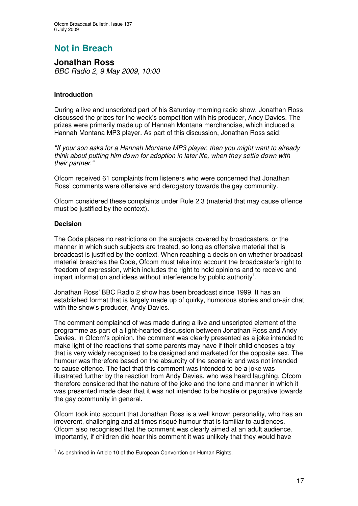# **Not in Breach**

**Jonathan Ross** *BBC Radio 2, 9 May 2009, 10:00*

#### **Introduction**

During a live and unscripted part of his Saturday morning radio show, Jonathan Ross discussed the prizes for the week's competition with his producer, Andy Davies. The prizes were primarily made up of Hannah Montana merchandise, which included a Hannah Montana MP3 player. As part of this discussion, Jonathan Ross said:

*"If your son asks for a Hannah Montana MP3 player, then you might want to already think about putting him down for adoption in later life, when they settle down with their partner."*

Ofcom received 61 complaints from listeners who were concerned that Jonathan Ross' comments were offensive and derogatory towards the gay community.

Ofcom considered these complaints under Rule 2.3 (material that may cause offence must be justified by the context).

#### **Decision**

The Code places no restrictions on the subjects covered by broadcasters, or the manner in which such subjects are treated, so long as offensive material that is broadcast is justified by the context. When reaching a decision on whether broadcast material breaches the Code, Ofcom must take into account the broadcaster's right to freedom of expression, which includes the right to hold opinions and to receive and impart information and ideas without interference by public authority<sup>1</sup>.

Jonathan Ross' BBC Radio 2 show has been broadcast since 1999. It has an established format that is largely made up of quirky, humorous stories and on-air chat with the show's producer, Andy Davies.

The comment complained of was made during a live and unscripted element of the programme as part of a light-hearted discussion between Jonathan Ross and Andy Davies. In Ofcom's opinion, the comment was clearly presented as a joke intended to make light of the reactions that some parents may have if their child chooses a toy that is very widely recognised to be designed and marketed for the opposite sex. The humour was therefore based on the absurdity of the scenario and was not intended to cause offence. The fact that this comment was intended to be a joke was illustrated further by the reaction from Andy Davies, who was heard laughing. Ofcom therefore considered that the nature of the joke and the tone and manner in which it was presented made clear that it was not intended to be hostile or pejorative towards the gay community in general.

Ofcom took into account that Jonathan Ross is a well known personality, who has an irreverent, challenging and at times risqué humour that is familiar to audiences. Ofcom also recognised that the comment was clearly aimed at an adult audience. Importantly, if children did hear this comment it was unlikely that they would have

<sup>&</sup>lt;sup>1</sup> As enshrined in Article 10 of the European Convention on Human Rights.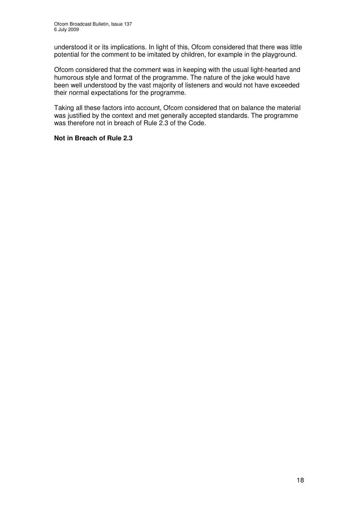understood it or its implications. In light of this, Ofcom considered that there was little potential for the comment to be imitated by children, for example in the playground.

Ofcom considered that the comment was in keeping with the usual light-hearted and humorous style and format of the programme. The nature of the joke would have been well understood by the vast majority of listeners and would not have exceeded their normal expectations for the programme.

Taking all these factors into account, Ofcom considered that on balance the material was justified by the context and met generally accepted standards. The programme was therefore not in breach of Rule 2.3 of the Code.

#### **Not in Breach of Rule 2.3**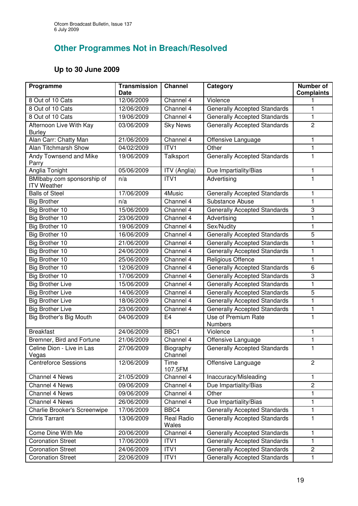## **Other Programmes Not in Breach/Resolved**

## **Up to 30 June 2009**

| Programme                                        | <b>Transmission</b><br><b>Date</b> | <b>Channel</b>           | Category                              | <b>Number of</b><br><b>Complaints</b> |
|--------------------------------------------------|------------------------------------|--------------------------|---------------------------------------|---------------------------------------|
| 8 Out of 10 Cats                                 | 12/06/2009                         | Channel 4                | Violence                              |                                       |
| 8 Out of 10 Cats                                 | 12/06/2009                         | Channel 4                | <b>Generally Accepted Standards</b>   | 1                                     |
| 8 Out of 10 Cats                                 | 19/06/2009                         | Channel 4                | <b>Generally Accepted Standards</b>   | $\mathbf{1}$                          |
| Afternoon Live With Kay                          | 03/06/2009                         | <b>Sky News</b>          | <b>Generally Accepted Standards</b>   | $\mathbf{2}$                          |
| <b>Burley</b>                                    |                                    |                          |                                       |                                       |
| Alan Carr: Chatty Man                            | 21/06/2009                         | Channel 4                | Offensive Language                    | 1                                     |
| Alan Titchmarsh Show                             | 04/02/2009                         | ITV1                     | Other                                 | $\mathbf{1}$                          |
| Andy Townsend and Mike<br>Parry                  | 19/06/2009                         | Talksport                | <b>Generally Accepted Standards</b>   | 1                                     |
| Anglia Tonight                                   | 05/06/2009                         | $\overline{IV}$ (Anglia) | Due Impartiality/Bias                 | 1                                     |
| BMIbaby.com sponsorship of<br><b>ITV Weather</b> | n/a                                | ITV1                     | Advertising                           | 1                                     |
| <b>Balls of Steel</b>                            | 17/06/2009                         | 4Music                   | <b>Generally Accepted Standards</b>   | 1                                     |
| <b>Big Brother</b>                               | n/a                                | Channel 4                | Substance Abuse                       | 1                                     |
| Big Brother 10                                   | 15/06/2009                         | Channel 4                | <b>Generally Accepted Standards</b>   | 3                                     |
| <b>Big Brother 10</b>                            | 23/06/2009                         | Channel 4                | Advertising                           | 1                                     |
| Big Brother 10                                   | 19/06/2009                         | Channel 4                | Sex/Nudity                            | 1                                     |
| Big Brother 10                                   | 16/06/2009                         | Channel 4                | <b>Generally Accepted Standards</b>   | 5                                     |
| <b>Big Brother 10</b>                            | 21/06/2009                         | Channel 4                | <b>Generally Accepted Standards</b>   | 1                                     |
| Big Brother 10                                   | 24/06/2009                         | Channel 4                | <b>Generally Accepted Standards</b>   | 1                                     |
| Big Brother 10                                   | 25/06/2009                         | Channel 4                | Religious Offence                     | $\mathbf{1}$                          |
| Big Brother 10                                   | 12/06/2009                         | Channel 4                | <b>Generally Accepted Standards</b>   | 6                                     |
| Big Brother 10                                   | 17/06/2009                         | Channel 4                | <b>Generally Accepted Standards</b>   | 3                                     |
| <b>Big Brother Live</b>                          | 15/06/2009                         | Channel 4                | <b>Generally Accepted Standards</b>   | 1                                     |
| <b>Big Brother Live</b>                          | 14/06/2009                         | Channel 4                | <b>Generally Accepted Standards</b>   | 5                                     |
| <b>Big Brother Live</b>                          | 18/06/2009                         | Channel 4                | <b>Generally Accepted Standards</b>   | 1                                     |
| <b>Big Brother Live</b>                          | 23/06/2009                         | Channel 4                | <b>Generally Accepted Standards</b>   | 1                                     |
| <b>Big Brother's Big Mouth</b>                   | 04/06/2009                         | E <sub>4</sub>           | Use of Premium Rate<br><b>Numbers</b> | 1                                     |
| <b>Breakfast</b>                                 | 24/06/2009                         | BBC1                     | Violence                              | 1                                     |
| Bremner, Bird and Fortune                        | 21/06/2009                         | Channel 4                | Offensive Language                    | 1                                     |
| Celine Dion - Live in Las<br>Vegas               | 27/06/2009                         | Biography<br>Channel     | <b>Generally Accepted Standards</b>   | 1                                     |
| <b>Centreforce Sessions</b>                      | 12/06/2009                         | Time<br>107.5FM          | Offensive Language                    | $\overline{2}$                        |
| Channel 4 News                                   | 21/05/2009                         | Channel 4                | Inaccuracy/Misleading                 | 1                                     |
| Channel 4 News                                   | 09/06/2009                         | Channel 4                | Due Impartiality/Bias                 | $\overline{2}$                        |
| Channel 4 News                                   | 09/06/2009                         | Channel 4                | Other                                 | 1                                     |
| <b>Channel 4 News</b>                            | 26/06/2009                         | Channel 4                | Due Impartiality/Bias                 | 1                                     |
| Charlie Brooker's Screenwipe                     | 17/06/2009                         | BBC4                     | Generally Accepted Standards          | 1                                     |
| <b>Chris Tarrant</b>                             | 13/06/2009                         | Real Radio<br>Wales      | <b>Generally Accepted Standards</b>   | 1                                     |
| Come Dine With Me                                | 20/06/2009                         | Channel 4                | <b>Generally Accepted Standards</b>   | $\mathbf{1}$                          |
| <b>Coronation Street</b>                         | 17/06/2009                         | ITV1                     | <b>Generally Accepted Standards</b>   | 1                                     |
| <b>Coronation Street</b>                         | 24/06/2009                         | ITV1                     | <b>Generally Accepted Standards</b>   | $\overline{c}$                        |
| <b>Coronation Street</b>                         | 22/06/2009                         | ITV1                     | <b>Generally Accepted Standards</b>   | $\mathbf{1}$                          |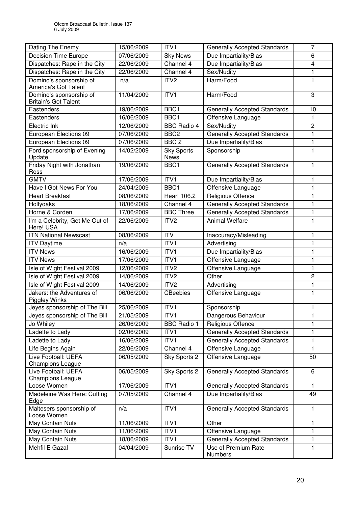| Dating The Enemy                                       | 15/06/2009 | ITV1                             | <b>Generally Accepted Standards</b> | 7                       |
|--------------------------------------------------------|------------|----------------------------------|-------------------------------------|-------------------------|
| <b>Decision Time Europe</b>                            | 07/06/2009 | <b>Sky News</b>                  | Due Impartiality/Bias               | 6                       |
| Dispatches: Rape in the City                           | 22/06/2009 | Channel $\overline{4}$           | Due Impartiality/Bias               | $\overline{\mathbf{4}}$ |
| Dispatches: Rape in the City                           | 22/06/2009 | Channel 4                        | Sex/Nudity                          | 1                       |
| Domino's sponsorship of<br>America's Got Talent        | n/a        | ITV <sub>2</sub>                 | Harm/Food                           | 1                       |
| Domino's sponsorship of<br><b>Britain's Got Talent</b> | 11/04/2009 | ITV1                             | Harm/Food                           | 3                       |
| Eastenders                                             | 19/06/2009 | BBC1                             | <b>Generally Accepted Standards</b> | 10                      |
| Eastenders                                             | 16/06/2009 | BBC1                             | Offensive Language                  | 1                       |
| Electric Ink                                           | 12/06/2009 | <b>BBC Radio 4</b>               | Sex/Nudity                          | $\overline{c}$          |
| European Elections 09                                  | 07/06/2009 | BBC <sub>2</sub>                 | <b>Generally Accepted Standards</b> | 1                       |
| European Elections 09                                  | 07/06/2009 | BBC <sub>2</sub>                 | Due Impartiality/Bias               | 1                       |
| Ford sponsorship of Evening<br>Update                  | 14/02/2009 | <b>Sky Sports</b><br><b>News</b> | Sponsorship                         | 1                       |
| Friday Night with Jonathan<br>Ross                     | 19/06/2009 | BBC1                             | <b>Generally Accepted Standards</b> | $\mathbf{1}$            |
| <b>GMTV</b>                                            | 17/06/2009 | ITV1                             | Due Impartiality/Bias               | 1                       |
| Have I Got News For You                                | 24/04/2009 | BBC1                             | Offensive Language                  | 1                       |
| <b>Heart Breakfast</b>                                 | 08/06/2009 | <b>Heart 106.2</b>               | Religious Offence                   | 1                       |
| Hollyoaks                                              | 18/06/2009 | Channel 4                        | <b>Generally Accepted Standards</b> | 1                       |
| Horne & Corden                                         | 17/06/2009 | <b>BBC Three</b>                 | <b>Generally Accepted Standards</b> | 1                       |
| I'm a Celebrity, Get Me Out of<br>Here! USA            | 22/06/2009 | ITV <sub>2</sub>                 | <b>Animal Welfare</b>               | 1                       |
| <b>ITN National Newscast</b>                           | 08/06/2009 | <b>ITV</b>                       | Inaccuracy/Misleading               | 1                       |
| <b>ITV Daytime</b>                                     | n/a        | ITV1                             | Advertising                         | 1                       |
| <b>ITV News</b>                                        | 16/06/2009 | ITV <sub>1</sub>                 | Due Impartiality/Bias               | 1                       |
| <b>ITV News</b>                                        | 17/06/2009 | ITV1                             | Offensive Language                  | 1                       |
| Isle of Wight Festival 2009                            | 12/06/2009 | ITV <sub>2</sub>                 | Offensive Language                  | 1                       |
| Isle of Wight Festival 2009                            | 14/06/2009 | ITV <sub>2</sub>                 | Other                               | $\overline{2}$          |
| Isle of Wight Festival 2009                            | 14/06/2009 | ITV <sub>2</sub>                 | Advertising                         | 1                       |
| Jakers: the Adventures of<br>Piggley Winks             | 06/06/2009 | <b>CBeebies</b>                  | Offensive Language                  | $\mathbf{1}$            |
| Jeyes sponsorship of The Bill                          | 25/06/2009 | ITV1                             | Sponsorship                         | $\mathbf{1}$            |
| Jeyes sponsorship of The Bill                          | 21/05/2009 | ITV1                             | Dangerous Behaviour                 | 1                       |
| Jo Whiley                                              | 26/06/2009 | <b>BBC Radio 1</b>               | Religious Offence                   | 1                       |
| Ladette to Lady                                        | 02/06/2009 | ITV1                             | <b>Generally Accepted Standards</b> | 1                       |
| Ladette to Lady                                        | 16/06/2009 | ITV1                             | <b>Generally Accepted Standards</b> | 1                       |
| Life Begins Again                                      | 22/06/2009 | Channel 4                        | Offensive Language                  | 1                       |
| Live Football: UEFA<br><b>Champions League</b>         | 06/05/2009 | Sky Sports 2                     | Offensive Language                  | 50                      |
| Live Football: UEFA<br><b>Champions League</b>         | 06/05/2009 | Sky Sports 2                     | <b>Generally Accepted Standards</b> | 6                       |
| Loose Women                                            | 17/06/2009 | ITV1                             | <b>Generally Accepted Standards</b> | $\mathbf{1}$            |
| Madeleine Was Here: Cutting<br>Edge                    | 07/05/2009 | Channel 4                        | Due Impartiality/Bias               | 49                      |
| Maltesers sponsorship of<br>Loose Women                | n/a        | ITV1                             | <b>Generally Accepted Standards</b> | $\mathbf{1}$            |
| May Contain Nuts                                       | 11/06/2009 | ITV1                             | Other                               | 1                       |
| May Contain Nuts                                       | 11/06/2009 | ITV1                             | Offensive Language                  | 1                       |
| May Contain Nuts                                       | 18/06/2009 | ITV1                             | <b>Generally Accepted Standards</b> | 1                       |
| Mehfil E Gazal                                         | 04/04/2009 | Sunrise TV                       | Use of Premium Rate<br>Numbers      | 1                       |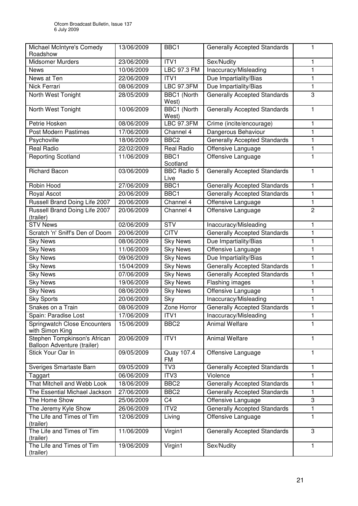| Michael McIntyre's Comedy<br>Roadshow                       | 13/06/2009 | BBC1                       | <b>Generally Accepted Standards</b> | 1              |
|-------------------------------------------------------------|------------|----------------------------|-------------------------------------|----------------|
| <b>Midsomer Murders</b>                                     | 23/06/2009 | ITV1                       | Sex/Nudity                          | 1              |
| <b>News</b>                                                 | 10/06/2009 | LBC 97.3 FM                | Inaccuracy/Misleading               | 1              |
| News at Ten                                                 | 22/06/2009 | ITV1                       | Due Impartiality/Bias               | 1              |
| Nick Ferrari                                                | 08/06/2009 | <b>LBC 97.3FM</b>          | Due Impartiality/Bias               | $\mathbf{1}$   |
| North West Tonight                                          | 28/05/2009 | BBC1 (North<br>West)       | <b>Generally Accepted Standards</b> | $\sqrt{3}$     |
| North West Tonight                                          | 10/06/2009 | BBC1 (North<br>West)       | <b>Generally Accepted Standards</b> | 1              |
| Petrie Hosken                                               | 08/06/2009 | <b>LBC 97.3FM</b>          | Crime (incite/encourage)            | 1              |
| <b>Post Modern Pastimes</b>                                 | 17/06/2009 | Channel 4                  | Dangerous Behaviour                 | $\mathbf{1}$   |
| Psychoville                                                 | 18/06/2009 | BBC <sub>2</sub>           | <b>Generally Accepted Standards</b> | 1              |
| Real Radio                                                  | 22/02/2009 | <b>Real Radio</b>          | Offensive Language                  | 1              |
| <b>Reporting Scotland</b>                                   | 11/06/2009 | BBC1<br>Scotland           | Offensive Language                  | 1              |
| <b>Richard Bacon</b>                                        | 03/06/2009 | <b>BBC Radio 5</b><br>Live | <b>Generally Accepted Standards</b> | 1              |
| Robin Hood                                                  | 27/06/2009 | BBC1                       | <b>Generally Accepted Standards</b> | 1              |
| Royal Ascot                                                 | 20/06/2009 | BBC1                       | <b>Generally Accepted Standards</b> | $\mathbf{1}$   |
| Russell Brand Doing Life 2007                               | 20/06/2009 | Channel 4                  | Offensive Language                  | 1              |
| Russell Brand Doing Life 2007<br>(trailer)                  | 20/06/2009 | Channel 4                  | Offensive Language                  | $\overline{c}$ |
| <b>STV News</b>                                             | 02/06/2009 | <b>STV</b>                 | Inaccuracy/Misleading               | 1              |
| Scratch 'n' Sniff's Den of Doom                             | 20/06/2009 | <b>CITV</b>                | <b>Generally Accepted Standards</b> | 1              |
| <b>Sky News</b>                                             | 08/06/2009 | <b>Sky News</b>            | Due Impartiality/Bias               | 1              |
| <b>Sky News</b>                                             | 11/06/2009 | <b>Sky News</b>            | Offensive Language                  | 1              |
| <b>Sky News</b>                                             | 09/06/2009 | <b>Sky News</b>            | Due Impartiality/Bias               | $\mathbf{1}$   |
| <b>Sky News</b>                                             | 15/04/2009 | <b>Sky News</b>            | <b>Generally Accepted Standards</b> | $\mathbf{1}$   |
| <b>Sky News</b>                                             | 07/06/2009 | <b>Sky News</b>            | <b>Generally Accepted Standards</b> | 1              |
| <b>Sky News</b>                                             | 19/06/2009 | <b>Sky News</b>            | Flashing images                     | 1              |
| <b>Sky News</b>                                             | 08/06/2009 | <b>Sky News</b>            | Offensive Language                  | 1              |
| <b>Sky Sports</b>                                           | 20/06/2009 | Sky                        | Inaccuracy/Misleading               | $\mathbf{1}$   |
| Snakes on a Train                                           | 08/06/2009 | Zone Horror                | <b>Generally Accepted Standards</b> | 1              |
| Spain: Paradise Lost                                        | 17/06/2009 | ITV1                       | Inaccuracy/Misleading               |                |
| <b>Springwatch Close Encounters</b><br>with Simon King      | 15/06/2009 | BBC <sub>2</sub>           | <b>Animal Welfare</b>               | 1              |
| Stephen Tompkinson's African<br>Balloon Adventure (trailer) | 20/06/2009 | ITV1                       | Animal Welfare                      | 1              |
| Stick Your Oar In                                           | 09/05/2009 | Quay 107.4<br><b>FM</b>    | Offensive Language                  | 1              |
| Sveriges Smartaste Barn                                     | 09/05/2009 | TV3                        | <b>Generally Accepted Standards</b> | 1              |
| Taggart                                                     | 06/06/2009 | ITV3                       | Violence                            | 1              |
| That Mitchell and Webb Look                                 | 18/06/2009 | BBC <sub>2</sub>           | <b>Generally Accepted Standards</b> | 1              |
| The Essential Michael Jackson                               | 27/06/2009 | BBC <sub>2</sub>           | <b>Generally Accepted Standards</b> | 1              |
| The Home Show                                               | 25/06/2009 | C <sub>4</sub>             | Offensive Language                  | 3              |
| The Jeremy Kyle Show                                        | 26/06/2009 | ITV <sub>2</sub>           | <b>Generally Accepted Standards</b> | 1              |
| The Life and Times of Tim<br>(trailer)                      | 12/06/2009 | Living                     | Offensive Language                  | 1              |
| The Life and Times of Tim<br>(trailer)                      | 11/06/2009 | Virgin1                    | <b>Generally Accepted Standards</b> | 3              |
| The Life and Times of Tim<br>(trailer)                      | 19/06/2009 | Virgin1                    | Sex/Nudity                          | 1              |